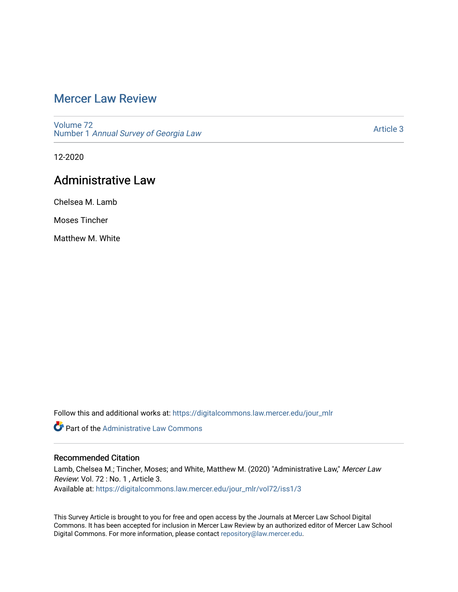# [Mercer Law Review](https://digitalcommons.law.mercer.edu/jour_mlr)

[Volume 72](https://digitalcommons.law.mercer.edu/jour_mlr/vol72) Number 1 [Annual Survey of Georgia Law](https://digitalcommons.law.mercer.edu/jour_mlr/vol72/iss1) 

[Article 3](https://digitalcommons.law.mercer.edu/jour_mlr/vol72/iss1/3) 

12-2020

# Administrative Law

Chelsea M. Lamb

Moses Tincher

Matthew M. White

Follow this and additional works at: [https://digitalcommons.law.mercer.edu/jour\\_mlr](https://digitalcommons.law.mercer.edu/jour_mlr?utm_source=digitalcommons.law.mercer.edu%2Fjour_mlr%2Fvol72%2Fiss1%2F3&utm_medium=PDF&utm_campaign=PDFCoverPages)

**Part of the Administrative Law Commons** 

## Recommended Citation

Lamb, Chelsea M.; Tincher, Moses; and White, Matthew M. (2020) "Administrative Law," Mercer Law Review: Vol. 72 : No. 1 , Article 3. Available at: [https://digitalcommons.law.mercer.edu/jour\\_mlr/vol72/iss1/3](https://digitalcommons.law.mercer.edu/jour_mlr/vol72/iss1/3?utm_source=digitalcommons.law.mercer.edu%2Fjour_mlr%2Fvol72%2Fiss1%2F3&utm_medium=PDF&utm_campaign=PDFCoverPages)

This Survey Article is brought to you for free and open access by the Journals at Mercer Law School Digital Commons. It has been accepted for inclusion in Mercer Law Review by an authorized editor of Mercer Law School Digital Commons. For more information, please contact [repository@law.mercer.edu](mailto:repository@law.mercer.edu).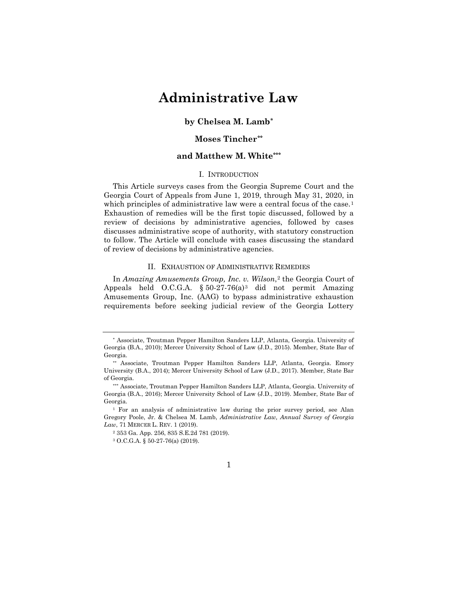# **Administrative Law**

## **by Chelsea M. Lamb[\\*](#page-1-0)**

## **Moses Tincher[\\*\\*](#page-1-1)**

## **and Matthew M. White\*\*\***

### I. INTRODUCTION

This Article surveys cases from the Georgia Supreme Court and the Georgia Court of Appeals from June 1, 2019, through May 31, 2020, in which principles of administrative law were a central focus of the case.<sup>[1](#page-1-2)</sup> Exhaustion of remedies will be the first topic discussed, followed by a review of decisions by administrative agencies, followed by cases discusses administrative scope of authority, with statutory construction to follow. The Article will conclude with cases discussing the standard of review of decisions by administrative agencies.

#### II. EXHAUSTION OF ADMINISTRATIVE REMEDIES

In *Amazing Amusements Group, Inc. v. Wilson*,<sup>[2](#page-1-3)</sup> the Georgia Court of Appeals held O.C.G.A.  $\S 50-27-76(a)^3$  $\S 50-27-76(a)^3$  did not permit Amazing Amusements Group, Inc. (AAG) to bypass administrative exhaustion requirements before seeking judicial review of the Georgia Lottery

### 1

<span id="page-1-0"></span><sup>∗</sup> Associate, Troutman Pepper Hamilton Sanders LLP, Atlanta, Georgia. University of Georgia (B.A., 2010); Mercer University School of Law (J.D., 2015). Member, State Bar of Georgia.

<span id="page-1-1"></span><sup>\*\*</sup> Associate, Troutman Pepper Hamilton Sanders LLP, Atlanta, Georgia. Emory University (B.A., 2014); Mercer University School of Law (J.D., 2017). Member, State Bar of Georgia.

<sup>\*\*\*</sup> Associate, Troutman Pepper Hamilton Sanders LLP, Atlanta, Georgia. University of Georgia (B.A., 2016); Mercer University School of Law (J.D., 2019). Member, State Bar of Georgia.

<span id="page-1-4"></span><span id="page-1-3"></span><span id="page-1-2"></span><sup>1</sup> For an analysis of administrative law during the prior survey period, see Alan Gregory Poole, Jr. & Chelsea M. Lamb, *Administrative Law, Annual Survey of Georgia Law*, 71 MERCER L. REV. 1 (2019).

<sup>2</sup> 353 Ga. App. 256, 835 S.E.2d 781 (2019).

<sup>3</sup> O.C.G.A. § 50-27-76(a) (2019).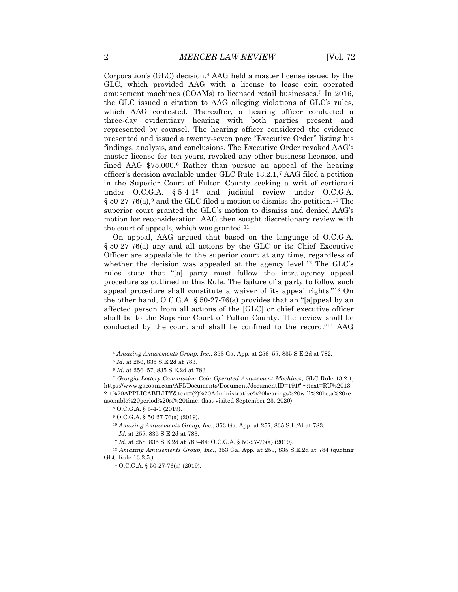Corporation's (GLC) decision.[4](#page-2-0) AAG held a master license issued by the GLC, which provided AAG with a license to lease coin operated amusement machines (COAMs) to licensed retail businesses.<sup>[5](#page-2-1)</sup> In 2016, the GLC issued a citation to AAG alleging violations of GLC's rules, which AAG contested. Thereafter, a hearing officer conducted a three-day evidentiary hearing with both parties present and represented by counsel. The hearing officer considered the evidence presented and issued a twenty-seven page "Executive Order" listing his findings, analysis, and conclusions. The Executive Order revoked AAG's master license for ten years, revoked any other business licenses, and fined AAG  $$75,000$ .<sup>[6](#page-2-2)</sup> Rather than pursue an appeal of the hearing officer's decision available under GLC Rule 13.2.1,[7](#page-2-3) AAG filed a petition in the Superior Court of Fulton County seeking a writ of certiorari under O.C.G.A. § 5-4-1[8](#page-2-4) and judicial review under O.C.G.A.  $\S 50-27-76(a)$ ,<sup>[9](#page-2-5)</sup> and the GLC filed a motion to dismiss the petition.<sup>[10](#page-2-6)</sup> The superior court granted the GLC's motion to dismiss and denied AAG's motion for reconsideration. AAG then sought discretionary review with the court of appeals, which was granted.<sup>[11](#page-2-7)</sup>

On appeal, AAG argued that based on the language of O.C.G.A. § 50-27-76(a) any and all actions by the GLC or its Chief Executive Officer are appealable to the superior court at any time, regardless of whether the decision was appealed at the agency level.<sup>[12](#page-2-8)</sup> The GLC's rules state that "[a] party must follow the intra-agency appeal procedure as outlined in this Rule. The failure of a party to follow such appeal procedure shall constitute a waiver of its appeal rights."[13](#page-2-9) On the other hand, O.C.G.A. § 50-27-76(a) provides that an "[a]ppeal by an affected person from all actions of the [GLC] or chief executive officer shall be to the Superior Court of Fulton County. The review shall be conducted by the court and shall be confined to the record."[14](#page-2-10) AAG

<sup>10</sup> *Amazing Amusements Group, Inc.*, 353 Ga. App. at 257, 835 S.E.2d at 783.

<sup>11</sup> *Id.* at 257, 835 S.E.2d at 783.

<sup>4</sup> *Amazing Amusements Group, Inc.*, 353 Ga. App. at 256–57, 835 S.E.2d at 782.

<sup>5</sup> *Id*. at 256, 835 S.E.2d at 783.

<sup>6</sup> *Id*. at 256–57, 835 S.E.2d at 783.

<span id="page-2-4"></span><span id="page-2-3"></span><span id="page-2-2"></span><span id="page-2-1"></span><span id="page-2-0"></span><sup>7</sup> *Georgia Lottery Commission Coin Operated Amusement Machines*, GLC Rule 13.2.1, https://www.gacoam.com/API/Documents/Document?documentID=191#:~:text=RU%2013. 2.1%20APPLICABILITY&text=(2)%20Administrative%20hearings%20will%20be,a%20re asonable%20period%20of%20time. (last visited September 23, 2020).

<sup>8</sup> O.C.G.A. § 5-4-1 (2019).

<sup>9</sup> O.C.G.A. § 50-27-76(a) (2019).

<sup>12</sup> *Id*. at 258, 835 S.E.2d at 783–84; O.C.G.A. § 50-27-76(a) (2019).

<span id="page-2-10"></span><span id="page-2-9"></span><span id="page-2-8"></span><span id="page-2-7"></span><span id="page-2-6"></span><span id="page-2-5"></span><sup>13</sup> *Amazing Amusements Group, Inc.*, 353 Ga. App. at 259, 835 S.E.2d at 784 (quoting GLC Rule 13.2.5.)

<sup>14</sup> O.C.G.A. § 50-27-76(a) (2019).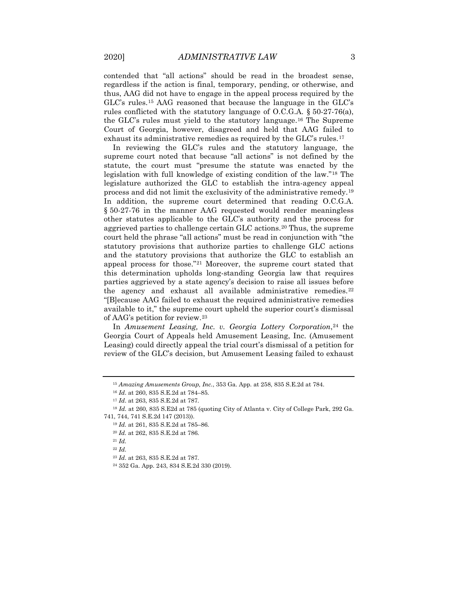contended that "all actions" should be read in the broadest sense, regardless if the action is final, temporary, pending, or otherwise, and thus, AAG did not have to engage in the appeal process required by the GLC's rules.[15](#page-3-0) AAG reasoned that because the language in the GLC's rules conflicted with the statutory language of O.C.G.A. § 50-27-76(a), the GLC's rules must yield to the statutory language.[16](#page-3-1) The Supreme Court of Georgia, however, disagreed and held that AAG failed to exhaust its administrative remedies as required by the GLC's rules.<sup>[17](#page-3-2)</sup>

In reviewing the GLC's rules and the statutory language, the supreme court noted that because "all actions" is not defined by the statute, the court must "presume the statute was enacted by the legislation with full knowledge of existing condition of the law."[18](#page-3-3) The legislature authorized the GLC to establish the intra-agency appeal process and did not limit the exclusivity of the administrative remedy.[19](#page-3-4) In addition, the supreme court determined that reading O.C.G.A. § 50-27-76 in the manner AAG requested would render meaningless other statutes applicable to the GLC's authority and the process for aggrieved parties to challenge certain GLC actions.[20](#page-3-5) Thus, the supreme court held the phrase "all actions" must be read in conjunction with "the statutory provisions that authorize parties to challenge GLC actions and the statutory provisions that authorize the GLC to establish an appeal process for those."[21](#page-3-6) Moreover, the supreme court stated that this determination upholds long-standing Georgia law that requires parties aggrieved by a state agency's decision to raise all issues before the agency and exhaust all available administrative remedies.<sup>[22](#page-3-7)</sup> "[B]ecause AAG failed to exhaust the required administrative remedies available to it," the supreme court upheld the superior court's dismissal of AAG's petition for review.[23](#page-3-8)

In *Amusement Leasing, Inc. v. Georgia Lottery Corporation*,<sup>[24](#page-3-9)</sup> the Georgia Court of Appeals held Amusement Leasing, Inc. (Amusement Leasing) could directly appeal the trial court's dismissal of a petition for review of the GLC's decision, but Amusement Leasing failed to exhaust

<sup>15</sup> *Amazing Amusements Group, Inc.*, 353 Ga. App. at 258, 835 S.E.2d at 784.

<sup>16</sup> *Id*. at 260, 835 S.E.2d at 784–85.

<sup>17</sup> *Id*. at 263, 835 S.E.2d at 787.

<span id="page-3-7"></span><span id="page-3-6"></span><span id="page-3-5"></span><span id="page-3-4"></span><span id="page-3-3"></span><span id="page-3-2"></span><span id="page-3-1"></span><span id="page-3-0"></span><sup>18</sup> *Id.* at 260, 835 S.E2d at 785 (quoting City of Atlanta v. City of College Park, 292 Ga. 741, 744, 741 S.E.2d 147 (2013)).

<sup>19</sup> *Id.* at 261, 835 S.E.2d at 785–86.

<sup>20</sup> *Id.* at 262, 835 S.E.2d at 786.

<span id="page-3-8"></span><sup>21</sup> *Id.*

<sup>22</sup> *Id.*

<sup>23</sup> *Id*. at 263, 835 S.E.2d at 787.

<span id="page-3-9"></span><sup>24</sup> 352 Ga. App. 243, 834 S.E.2d 330 (2019).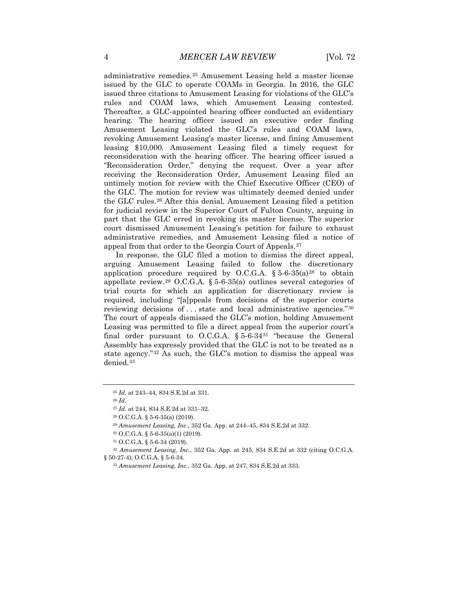administrative remedies.[25](#page-4-0) Amusement Leasing held a master license issued by the GLC to operate COAMs in Georgia. In 2016, the GLC issued three citations to Amusement Leasing for violations of the GLC's rules and COAM laws, which Amusement Leasing contested. Thereafter, a GLC-appointed hearing officer conducted an evidentiary hearing. The hearing officer issued an executive order finding Amusement Leasing violated the GLC's rules and COAM laws, revoking Amusement Leasing's master license, and fining Amusement leasing \$10,000. Amusement Leasing filed a timely request for reconsideration with the hearing officer. The hearing officer issued a "Reconsideration Order," denying the request. Over a year after receiving the Reconsideration Order, Amusement Leasing filed an untimely motion for review with the Chief Executive Officer (CEO) of the GLC. The motion for review was ultimately deemed denied under the GLC rules.[26](#page-4-1) After this denial, Amusement Leasing filed a petition for judicial review in the Superior Court of Fulton County, arguing in part that the GLC erred in revoking its master license. The superior court dismissed Amusement Leasing's petition for failure to exhaust administrative remedies, and Amusement Leasing filed a notice of appeal from that order to the Georgia Court of Appeals.[27](#page-4-2)

In response, the GLC filed a motion to dismiss the direct appeal, arguing Amusement Leasing failed to follow the discretionary application procedure required by O.C.G.A.  $\S 5-6-35(a)^{28}$  $\S 5-6-35(a)^{28}$  $\S 5-6-35(a)^{28}$  to obtain appellate review.<sup>[29](#page-4-4)</sup> O.C.G.A.  $\S 5$ -6-35(a) outlines several categories of trial courts for which an application for discretionary review is required, including "[a]ppeals from decisions of the superior courts reviewing decisions of . . . state and local administrative agencies."[30](#page-4-5) The court of appeals dismissed the GLC's motion, holding Amusement Leasing was permitted to file a direct appeal from the superior court's final order pursuant to O.C.G.A.  $\S 5.6.34^{31}$  $\S 5.6.34^{31}$  $\S 5.6.34^{31}$  "because the General Assembly has expressly provided that the GLC is not to be treated as a state agency."[32](#page-4-7) As such, the GLC's motion to dismiss the appeal was denied.[33](#page-4-8)

<span id="page-4-1"></span><span id="page-4-0"></span><sup>25</sup> *Id*. at 243–44, 834 S.E.2d at 331.

<sup>27</sup> *Id.* at 244, 834 S.E.2d at 331–32.

<sup>28</sup> O.C.G.A. § 5-6-35(a) (2019).

<sup>29</sup> *Amusement Leasing, Inc.*, 352 Ga. App. at 244–45, 834 S.E.2d at 332.

<sup>30</sup> O.C.G.A. § 5-6-35(a)(1) (2019).

<sup>31</sup> O.C.G.A. § 5-6-34 (2019).

<span id="page-4-8"></span><span id="page-4-7"></span><span id="page-4-6"></span><span id="page-4-5"></span><span id="page-4-4"></span><span id="page-4-3"></span><span id="page-4-2"></span><sup>32</sup> *Amusement Leasing, Inc.*, 352 Ga. App. at 245, 834 S.E.2d at 332 (citing O.C.G.A. § 50-27-4); O.C.G.A. § 5-6-34.

<sup>33</sup> *Amusement Leasing, Inc.*, 352 Ga. App. at 247, 834 S.E.2d at 333.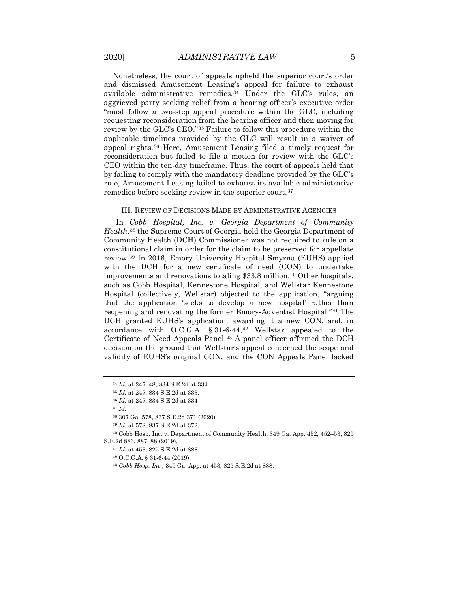Nonetheless, the court of appeals upheld the superior court's order and dismissed Amusement Leasing's appeal for failure to exhaust available administrative remedies.[34](#page-5-0) Under the GLC's rules, an aggrieved party seeking relief from a hearing officer's executive order "must follow a two-step appeal procedure within the GLC, including requesting reconsideration from the hearing officer and then moving for review by the GLC's CEO."[35](#page-5-1) Failure to follow this procedure within the applicable timelines provided by the GLC will result in a waiver of appeal rights.[36](#page-5-2) Here, Amusement Leasing filed a timely request for reconsideration but failed to file a motion for review with the GLC's CEO within the ten-day timeframe. Thus, the court of appeals held that by failing to comply with the mandatory deadline provided by the GLC's rule, Amusement Leasing failed to exhaust its available administrative remedies before seeking review in the superior court.[37](#page-5-3)

#### III. REVIEW OF DECISIONS MADE BY ADMINISTRATIVE AGENCIES

In *Cobb Hospital, Inc. v. Georgia Department of Community Health*,[38](#page-5-4) the Supreme Court of Georgia held the Georgia Department of Community Health (DCH) Commissioner was not required to rule on a constitutional claim in order for the claim to be preserved for appellate review.[39](#page-5-5) In 2016, Emory University Hospital Smyrna (EUHS) applied with the DCH for a new certificate of need (CON) to undertake improvements and renovations totaling \$33.8 million.[40](#page-5-6) Other hospitals, such as Cobb Hospital, Kennestone Hospital, and Wellstar Kennestone Hospital (collectively, Wellstar) objected to the application, "arguing that the application 'seeks to develop a new hospital' rather than reopening and renovating the former Emory-Adventist Hospital."[41](#page-5-7) The DCH granted EUHS's application, awarding it a new CON, and, in accordance with O.C.G.A.  $§ 31-6-44$ ,<sup>[42](#page-5-8)</sup> Wellstar appealed to the Certificate of Need Appeals Panel.[43](#page-5-9) A panel officer affirmed the DCH decision on the ground that Wellstar's appeal concerned the scope and validity of EUHS's original CON, and the CON Appeals Panel lacked

<span id="page-5-0"></span><sup>34</sup> *Id.* at 247–48, 834 S.E.2d at 334.

<sup>35</sup> *Id.* at 247, 834 S.E.2d at 333.

<sup>36</sup> *Id.* at 247, 834 S.E.2d at 334

<sup>38</sup> 307 Ga. 578, 837 S.E.2d 371 (2020).

<sup>39</sup> *Id.* at 578, 837 S.E.2d at 372.

<span id="page-5-9"></span><span id="page-5-8"></span><span id="page-5-7"></span><span id="page-5-6"></span><span id="page-5-5"></span><span id="page-5-4"></span><span id="page-5-3"></span><span id="page-5-2"></span><span id="page-5-1"></span><sup>40</sup> Cobb Hosp. Inc. v. Department of Community Health, 349 Ga. App. 452, 452–53, 825 S.E.2d 886, 887–88 (2019).

<sup>41</sup> *Id.* at 453, 825 S.E.2d at 888.

<sup>42</sup> O.C.G.A. § 31-6-44 (2019).

<sup>43</sup> *Cobb Hosp. Inc.*, 349 Ga. App. at 453, 825 S.E.2d at 888.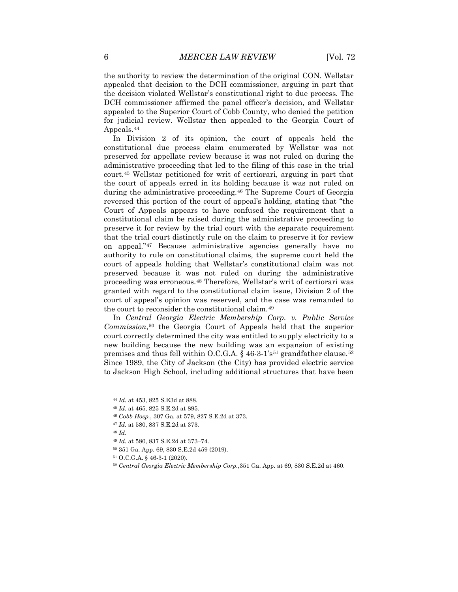the authority to review the determination of the original CON. Wellstar appealed that decision to the DCH commissioner, arguing in part that the decision violated Wellstar's constitutional right to due process. The DCH commissioner affirmed the panel officer's decision, and Wellstar appealed to the Superior Court of Cobb County, who denied the petition for judicial review. Wellstar then appealed to the Georgia Court of Appeals.[44](#page-6-0)

In Division 2 of its opinion, the court of appeals held the constitutional due process claim enumerated by Wellstar was not preserved for appellate review because it was not ruled on during the administrative proceeding that led to the filing of this case in the trial court.[45](#page-6-1) Wellstar petitioned for writ of certiorari, arguing in part that the court of appeals erred in its holding because it was not ruled on during the administrative proceeding.<sup>[46](#page-6-2)</sup> The Supreme Court of Georgia reversed this portion of the court of appeal's holding, stating that "the Court of Appeals appears to have confused the requirement that a constitutional claim be raised during the administrative proceeding to preserve it for review by the trial court with the separate requirement that the trial court distinctly rule on the claim to preserve it for review on appeal."[47](#page-6-3) Because administrative agencies generally have no authority to rule on constitutional claims, the supreme court held the court of appeals holding that Wellstar's constitutional claim was not preserved because it was not ruled on during the administrative proceeding was erroneous.[48](#page-6-4) Therefore, Wellstar's writ of certiorari was granted with regard to the constitutional claim issue, Division 2 of the court of appeal's opinion was reserved, and the case was remanded to the court to reconsider the constitutional claim.[49](#page-6-5)

In *Central Georgia Electric Membership Corp. v. Public Service Commission*,[50](#page-6-6) the Georgia Court of Appeals held that the superior court correctly determined the city was entitled to supply electricity to a new building because the new building was an expansion of existing premises and thus fell within O.C.G.A. § 46-3-1's<sup>[51](#page-6-7)</sup> grandfather clause.<sup>[52](#page-6-8)</sup> Since 1989, the City of Jackson (the City) has provided electric service to Jackson High School, including additional structures that have been

<sup>44</sup> *Id.* at 453, 825 S.E3d at 888.

<span id="page-6-2"></span><span id="page-6-1"></span><span id="page-6-0"></span><sup>45</sup> *Id.* at 465, 825 S.E.2d at 895.

<sup>46</sup> *Cobb Hosp.*, 307 Ga. at 579, 827 S.E.2d at 373.

<sup>47</sup> *Id.* at 580, 837 S.E.2d at 373.

<span id="page-6-5"></span><span id="page-6-4"></span><span id="page-6-3"></span><sup>48</sup> *Id.*

<sup>49</sup> *Id.* at 580, 837 S.E.2d at 373–74.

<sup>50</sup> 351 Ga. App. 69, 830 S.E.2d 459 (2019).

<span id="page-6-8"></span><span id="page-6-7"></span><span id="page-6-6"></span><sup>51</sup> O.C.G.A. § 46-3-1 (2020).

<sup>52</sup> *Central Georgia Electric Membership Corp.*,351 Ga. App. at 69, 830 S.E.2d at 460.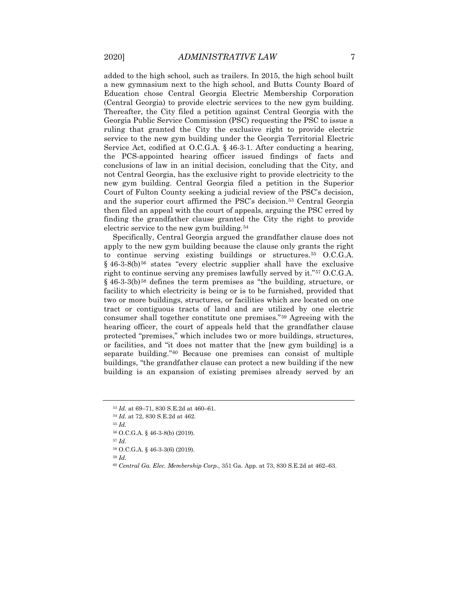added to the high school, such as trailers. In 2015, the high school built a new gymnasium next to the high school, and Butts County Board of Education chose Central Georgia Electric Membership Corporation (Central Georgia) to provide electric services to the new gym building. Thereafter, the City filed a petition against Central Georgia with the Georgia Public Service Commission (PSC) requesting the PSC to issue a ruling that granted the City the exclusive right to provide electric service to the new gym building under the Georgia Territorial Electric Service Act, codified at O.C.G.A. § 46-3-1. After conducting a hearing, the PCS-appointed hearing officer issued findings of facts and conclusions of law in an initial decision, concluding that the City, and not Central Georgia, has the exclusive right to provide electricity to the new gym building. Central Georgia filed a petition in the Superior Court of Fulton County seeking a judicial review of the PSC's decision, and the superior court affirmed the PSC's decision.[53](#page-7-0) Central Georgia then filed an appeal with the court of appeals, arguing the PSC erred by finding the grandfather clause granted the City the right to provide electric service to the new gym building.<sup>[54](#page-7-1)</sup>

Specifically, Central Georgia argued the grandfather clause does not apply to the new gym building because the clause only grants the right to continue serving existing buildings or structures.[55](#page-7-2) O.C.G.A.  $§$  46-3-8(b)<sup>[56](#page-7-3)</sup> states "every electric supplier shall have the exclusive right to continue serving any premises lawfully served by it."[57](#page-7-4) O.C.G.A.  $\S$  46-3-3(b)<sup>[58](#page-7-5)</sup> defines the term premises as "the building, structure, or facility to which electricity is being or is to be furnished, provided that two or more buildings, structures, or facilities which are located on one tract or contiguous tracts of land and are utilized by one electric consumer shall together constitute one premises."[59](#page-7-6) Agreeing with the hearing officer, the court of appeals held that the grandfather clause protected "premises," which includes two or more buildings, structures, or facilities, and "it does not matter that the [new gym building] is a separate building."[60](#page-7-7) Because one premises can consist of multiple buildings, "the grandfather clause can protect a new building if the new building is an expansion of existing premises already served by an

<sup>53</sup> *Id.* at 69–71, 830 S.E.2d at 460–61.

<span id="page-7-3"></span><span id="page-7-2"></span><span id="page-7-1"></span><span id="page-7-0"></span><sup>54</sup> *Id.* at 72, 830 S.E.2d at 462.

<span id="page-7-4"></span><sup>55</sup> *Id.*

<sup>56</sup> O.C.G.A. § 46-3-8(b) (2019).

<sup>57</sup> *Id.*

<span id="page-7-6"></span><span id="page-7-5"></span><sup>58</sup> O.C.G.A. § 46-3-3(6) (2019).

<span id="page-7-7"></span><sup>60</sup> *Central Ga. Elec. Membership Corp.*, 351 Ga. App. at 73, 830 S.E.2d at 462–63.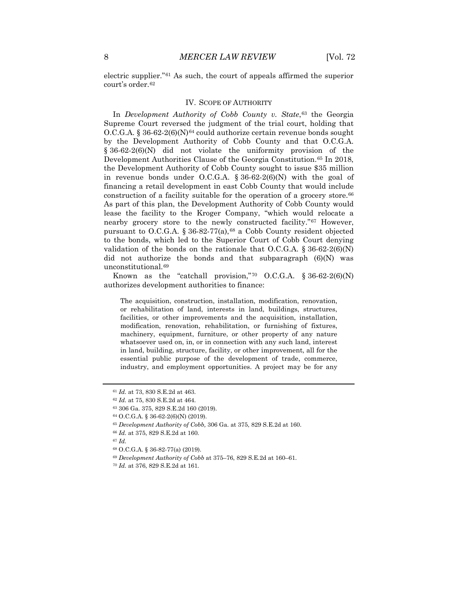electric supplier."[61](#page-8-0) As such, the court of appeals affirmed the superior court's order.<sup>[62](#page-8-1)</sup>

#### IV. SCOPE OF AUTHORITY

In *Development Authority of Cobb County v. State*,<sup>[63](#page-8-2)</sup> the Georgia Supreme Court reversed the judgment of the trial court, holding that  $O.C.G.A. § 36-62-2(6)(N)<sup>64</sup>$  $O.C.G.A. § 36-62-2(6)(N)<sup>64</sup>$  $O.C.G.A. § 36-62-2(6)(N)<sup>64</sup>$  could authorize certain revenue bonds sought by the Development Authority of Cobb County and that O.C.G.A. § 36-62-2(6)(N) did not violate the uniformity provision of the Development Authorities Clause of the Georgia Constitution.<sup>[65](#page-8-4)</sup> In 2018, the Development Authority of Cobb County sought to issue \$35 million in revenue bonds under O.C.G.A.  $\S 36-62-2(6)$ (N) with the goal of financing a retail development in east Cobb County that would include construction of a facility suitable for the operation of a grocery store.[66](#page-8-5) As part of this plan, the Development Authority of Cobb County would lease the facility to the Kroger Company, "which would relocate a nearby grocery store to the newly constructed facility."[67](#page-8-6) However, pursuant to O.C.G.A.  $\S 36-82-77(a)$ ,  $68$  a Cobb County resident objected to the bonds, which led to the Superior Court of Cobb Court denying validation of the bonds on the rationale that O.C.G.A.  $\S 36-62-2(6)(N)$ did not authorize the bonds and that subparagraph  $(6)(N)$  was unconstitutional.[69](#page-8-8)

Known as the "catchall provision,"<sup>[70](#page-8-9)</sup> O.C.G.A.  $\S 36-62-2(6)(N)$ authorizes development authorities to finance:

The acquisition, construction, installation, modification, renovation, or rehabilitation of land, interests in land, buildings, structures, facilities, or other improvements and the acquisition, installation, modification, renovation, rehabilitation, or furnishing of fixtures, machinery, equipment, furniture, or other property of any nature whatsoever used on, in, or in connection with any such land, interest in land, building, structure, facility, or other improvement, all for the essential public purpose of the development of trade, commerce, industry, and employment opportunities. A project may be for any

<span id="page-8-0"></span><sup>61</sup> *Id.* at 73, 830 S.E.2d at 463.

<span id="page-8-1"></span><sup>62</sup> *Id.* at 75, 830 S.E.2d at 464.

<span id="page-8-3"></span><span id="page-8-2"></span><sup>63</sup> 306 Ga. 375, 829 S.E.2d 160 (2019).

<sup>64</sup> O.C.G.A. § 36-62-2(6)(N) (2019).

<sup>65</sup> *Development Authority of Cobb,* 306 Ga. at 375, 829 S.E.2d at 160.

<span id="page-8-5"></span><span id="page-8-4"></span><sup>66</sup> *Id.* at 375, 829 S.E.2d at 160.

<span id="page-8-7"></span><span id="page-8-6"></span><sup>67</sup> *Id.*

<sup>68</sup> O.C.G.A. § 36-82-77(a) (2019).

<span id="page-8-8"></span><sup>69</sup> *Development Authority of Cobb* at 375–76, 829 S.E.2d at 160–61.

<span id="page-8-9"></span><sup>70</sup> *Id.* at 376, 829 S.E.2d at 161.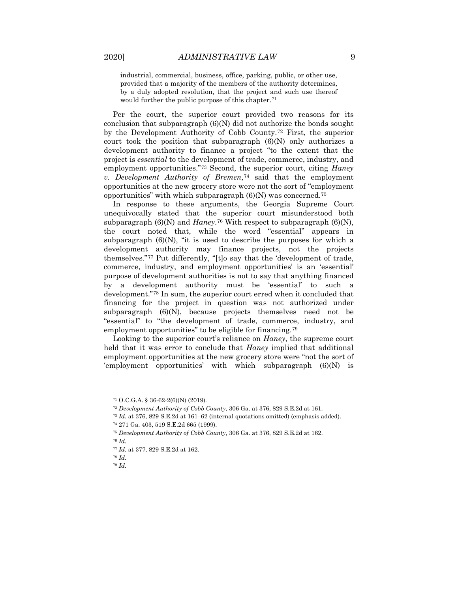industrial, commercial, business, office, parking, public, or other use, provided that a majority of the members of the authority determines, by a duly adopted resolution, that the project and such use thereof would further the public purpose of this chapter.<sup>[71](#page-9-0)</sup>

Per the court, the superior court provided two reasons for its conclusion that subparagraph (6)(N) did not authorize the bonds sought by the Development Authority of Cobb County.[72](#page-9-1) First, the superior court took the position that subparagraph (6)(N) only authorizes a development authority to finance a project "to the extent that the project is *essential* to the development of trade, commerce, industry, and employment opportunities."[73](#page-9-2) Second, the superior court, citing *Haney v. Development Authority of Bremen*,<sup>[74](#page-9-3)</sup> said that the employment opportunities at the new grocery store were not the sort of "employment opportunities" with which subparagraph  $(6)(N)$  was concerned.<sup>[75](#page-9-4)</sup>

In response to these arguments, the Georgia Supreme Court unequivocally stated that the superior court misunderstood both subparagraph  $(6)(N)$  and *Haney*.<sup>[76](#page-9-5)</sup> With respect to subparagraph  $(6)(N)$ , the court noted that, while the word "essential" appears in subparagraph  $(6)(N)$ , "it is used to describe the purposes for which a development authority may finance projects, not the projects themselves."[77](#page-9-6) Put differently, "[t]o say that the 'development of trade, commerce, industry, and employment opportunities' is an 'essential' purpose of development authorities is not to say that anything financed by a development authority must be 'essential' to such a development."[78](#page-9-7) In sum, the superior court erred when it concluded that financing for the project in question was not authorized under subparagraph (6)(N), because projects themselves need not be "essential" to "the development of trade, commerce, industry, and employment opportunities" to be eligible for financing.[79](#page-9-8)

Looking to the superior court's reliance on *Haney*, the supreme court held that it was error to conclude that *Haney* implied that additional employment opportunities at the new grocery store were "not the sort of 'employment opportunities' with which subparagraph (6)(N) is

<span id="page-9-0"></span><sup>71</sup> O.C.G.A. § 36-62-2(6)(N) (2019).

<span id="page-9-1"></span><sup>72</sup> *Development Authority of Cobb County*, 306 Ga. at 376, 829 S.E.2d at 161.

<span id="page-9-2"></span><sup>73</sup> *Id.* at 376, 829 S.E.2d at 161–62 (internal quotations omitted) (emphasis added).

<span id="page-9-3"></span><sup>74</sup> 271 Ga. 403, 519 S.E.2d 665 (1999).

<sup>75</sup> *Development Authority of Cobb County*, 306 Ga. at 376, 829 S.E.2d at 162.

<span id="page-9-7"></span><span id="page-9-6"></span><span id="page-9-5"></span><span id="page-9-4"></span><sup>76</sup> *Id.*

<sup>77</sup> *Id.* at 377, 829 S.E.2d at 162.

<span id="page-9-8"></span><sup>78</sup> *Id.*

<sup>79</sup> *Id.*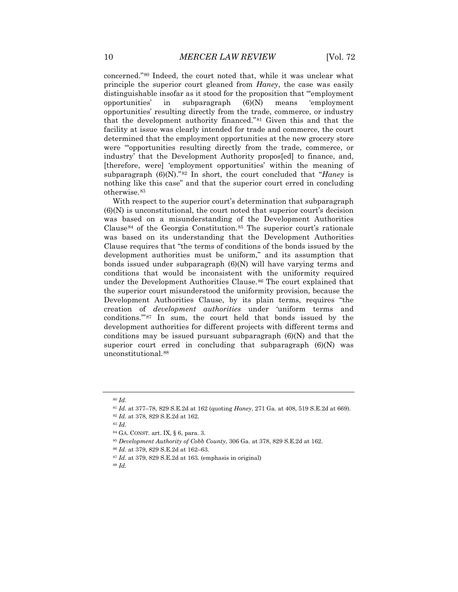concerned.["80](#page-10-0) Indeed, the court noted that, while it was unclear what principle the superior court gleaned from *Haney*, the case was easily distinguishable insofar as it stood for the proposition that "'employment opportunities' in subparagraph (6)(N) means 'employment opportunities' resulting directly from the trade, commerce, or industry that the development authority financed."[81](#page-10-1) Given this and that the facility at issue was clearly intended for trade and commerce, the court determined that the employment opportunities at the new grocery store were "'opportunities resulting directly from the trade, commerce, or industry' that the Development Authority propos[ed] to finance, and, [therefore, were] 'employment opportunities' within the meaning of subparagraph (6)(N)."[82](#page-10-2) In short, the court concluded that "*Haney* is nothing like this case" and that the superior court erred in concluding otherwise.[83](#page-10-3)

With respect to the superior court's determination that subparagraph  $(6)(N)$  is unconstitutional, the court noted that superior court's decision was based on a misunderstanding of the Development Authorities Clause<sup>[84](#page-10-4)</sup> of the Georgia Constitution.<sup>[85](#page-10-5)</sup> The superior court's rationale was based on its understanding that the Development Authorities Clause requires that "the terms of conditions of the bonds issued by the development authorities must be uniform," and its assumption that bonds issued under subparagraph (6)(N) will have varying terms and conditions that would be inconsistent with the uniformity required under the Development Authorities Clause.<sup>[86](#page-10-6)</sup> The court explained that the superior court misunderstood the uniformity provision, because the Development Authorities Clause, by its plain terms, requires "the creation of *development authorities* under 'uniform terms and conditions.'"[87](#page-10-7) In sum, the court held that bonds issued by the development authorities for different projects with different terms and conditions may be issued pursuant subparagraph (6)(N) and that the superior court erred in concluding that subparagraph  $(6)(N)$  was unconstitutional.[88](#page-10-8)

<span id="page-10-6"></span><span id="page-10-5"></span><sup>85</sup> *Development Authority of Cobb County*, 306 Ga. at 378, 829 S.E.2d at 162.

<span id="page-10-1"></span><span id="page-10-0"></span><sup>80</sup> *Id.*

<sup>81</sup> *Id.* at 377–78, 829 S.E.2d at 162 (quoting *Haney*, 271 Ga. at 408, 519 S.E.2d at 669).

<sup>82</sup> *Id.* at 378, 829 S.E.2d at 162.

<span id="page-10-4"></span><span id="page-10-3"></span><span id="page-10-2"></span><sup>83</sup> *Id.*

<sup>84</sup> GA. CONST. art. IX, § 6, para. 3.

<sup>86</sup> *Id.* at 379, 829 S.E.2d at 162–63.

<sup>87</sup> *Id.* at 379, 829 S.E.2d at 163. (emphasis in original)

<span id="page-10-8"></span><span id="page-10-7"></span><sup>88</sup> *Id.*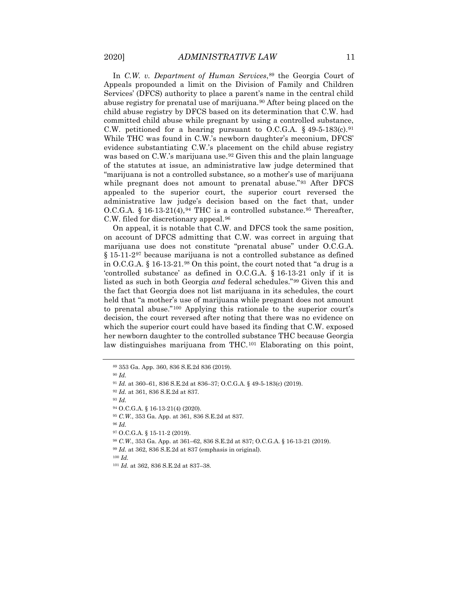In *C.W. v. Department of Human Services*,<sup>[89](#page-11-0)</sup> the Georgia Court of Appeals propounded a limit on the Division of Family and Children Services' (DFCS) authority to place a parent's name in the central child abuse registry for prenatal use of marijuana.<sup>[90](#page-11-1)</sup> After being placed on the child abuse registry by DFCS based on its determination that C.W. had committed child abuse while pregnant by using a controlled substance, C.W. petitioned for a hearing pursuant to O.C.G.A.  $\S$  49-5-183(c).<sup>[91](#page-11-2)</sup> While THC was found in C.W.'s newborn daughter's meconium, DFCS' evidence substantiating C.W.'s placement on the child abuse registry was based on C.W.'s marijuana use.<sup>[92](#page-11-3)</sup> Given this and the plain language of the statutes at issue, an administrative law judge determined that "marijuana is not a controlled substance, so a mother's use of marijuana while pregnant does not amount to prenatal abuse."<sup>[93](#page-11-4)</sup> After DFCS appealed to the superior court, the superior court reversed the administrative law judge's decision based on the fact that, under O.C.G.A. § 16-13-21(4),  $94$  THC is a controlled substance.  $95$  Thereafter, C.W. filed for discretionary appeal.[96](#page-11-7)

On appeal, it is notable that C.W. and DFCS took the same position, on account of DFCS admitting that C.W. was correct in arguing that marijuana use does not constitute "prenatal abuse" under O.C.G.A. § 15-11-2<sup>[97](#page-11-8)</sup> because marijuana is not a controlled substance as defined in O.C.G.A. § 16-13-21.[98](#page-11-9) On this point, the court noted that "a drug is a 'controlled substance' as defined in O.C.G.A. § 16-13-21 only if it is listed as such in both Georgia *and* federal schedules."[99](#page-11-10) Given this and the fact that Georgia does not list marijuana in its schedules, the court held that "a mother's use of marijuana while pregnant does not amount to prenatal abuse."[100](#page-11-11) Applying this rationale to the superior court's decision, the court reversed after noting that there was no evidence on which the superior court could have based its finding that C.W. exposed her newborn daughter to the controlled substance THC because Georgia law distinguishes marijuana from THC.<sup>[101](#page-11-12)</sup> Elaborating on this point,

<sup>90</sup> *Id.*

<span id="page-11-2"></span><sup>91</sup> *Id.* at 360–61, 836 S.E.2d at 836–37; O.C.G.A. § 49-5-183(c) (2019).

<sup>93</sup> *Id.*

<span id="page-11-6"></span><sup>95</sup> *C.W.*, 353 Ga. App. at 361, 836 S.E.2d at 837.

<span id="page-11-8"></span><span id="page-11-7"></span><sup>96</sup> *Id.*

<span id="page-11-9"></span><sup>97</sup> O.C.G.A. § 15-11-2 (2019).

<sup>98</sup> *C.W.*, 353 Ga. App. at 361–62, 836 S.E.2d at 837; O.C.G.A. § 16-13-21 (2019).

<span id="page-11-11"></span><span id="page-11-10"></span><sup>99</sup> *Id.* at 362, 836 S.E.2d at 837 (emphasis in original).

<span id="page-11-1"></span><span id="page-11-0"></span><sup>89</sup> 353 Ga. App. 360, 836 S.E.2d 836 (2019).

<span id="page-11-4"></span><span id="page-11-3"></span><sup>92</sup> *Id.* at 361, 836 S.E.2d at 837.

<span id="page-11-5"></span><sup>94</sup> O.C.G.A. § 16-13-21(4) (2020).

<span id="page-11-12"></span><sup>101</sup> *Id.* at 362, 836 S.E.2d at 837–38.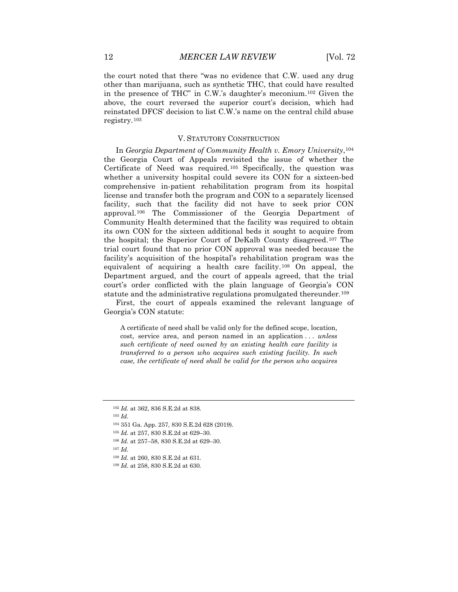the court noted that there "was no evidence that C.W. used any drug other than marijuana, such as synthetic THC, that could have resulted in the presence of THC" in C.W.'s daughter's meconium.[102](#page-12-0) Given the above, the court reversed the superior court's decision, which had reinstated DFCS' decision to list C.W.'s name on the central child abuse registry.[103](#page-12-1)

#### V. STATUTORY CONSTRUCTION

In *Georgia Department of Community Health v. Emory University*,[104](#page-12-2) the Georgia Court of Appeals revisited the issue of whether the Certificate of Need was required.[105](#page-12-3) Specifically, the question was whether a university hospital could severe its CON for a sixteen-bed comprehensive in-patient rehabilitation program from its hospital license and transfer both the program and CON to a separately licensed facility, such that the facility did not have to seek prior CON approval.[106](#page-12-4) The Commissioner of the Georgia Department of Community Health determined that the facility was required to obtain its own CON for the sixteen additional beds it sought to acquire from the hospital; the Superior Court of DeKalb County disagreed.[107](#page-12-5) The trial court found that no prior CON approval was needed because the facility's acquisition of the hospital's rehabilitation program was the equivalent of acquiring a health care facility.[108](#page-12-6) On appeal, the Department argued, and the court of appeals agreed, that the trial court's order conflicted with the plain language of Georgia's CON statute and the administrative regulations promulgated thereunder.[109](#page-12-7)

First, the court of appeals examined the relevant language of Georgia's CON statute:

A certificate of need shall be valid only for the defined scope, location, cost, service area, and person named in an application . . . *unless such certificate of need owned by an existing health care facility is transferred to a person who acquires such existing facility. In such case, the certificate of need shall be valid for the person who acquires* 

- <span id="page-12-3"></span><sup>105</sup> *Id.* at 257, 830 S.E.2d at 629–30.
- <span id="page-12-4"></span><sup>106</sup> *Id.* at 257–58, 830 S.E.2d at 629–30.
- <span id="page-12-6"></span><span id="page-12-5"></span><sup>107</sup> *Id.*
- <sup>108</sup> *Id.* at 260, 830 S.E.2d at 631.
- <span id="page-12-7"></span><sup>109</sup> *Id.* at 258, 830 S.E.2d at 630.

<span id="page-12-1"></span><span id="page-12-0"></span><sup>102</sup> *Id.* at 362, 836 S.E.2d at 838.

<span id="page-12-2"></span><sup>104</sup> 351 Ga. App. 257, 830 S.E.2d 628 (2019).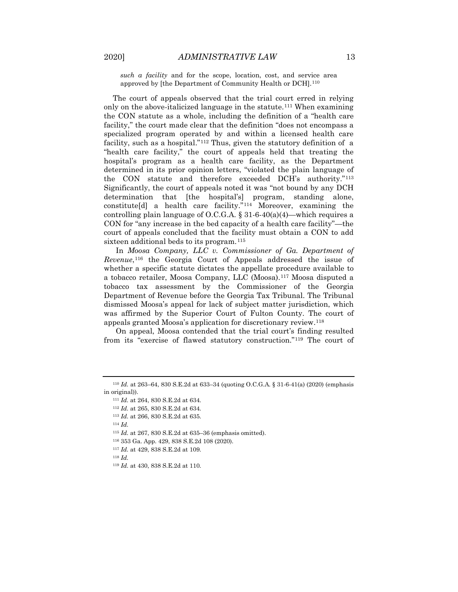*such a facility* and for the scope, location, cost, and service area approved by [the Department of Community Health or DCH].<sup>[110](#page-13-0)</sup>

The court of appeals observed that the trial court erred in relying only on the above-italicized language in the statute.<sup>[111](#page-13-1)</sup> When examining the CON statute as a whole, including the definition of a "health care facility," the court made clear that the definition "does not encompass a specialized program operated by and within a licensed health care facility, such as a hospital."<sup>[112](#page-13-2)</sup> Thus, given the statutory definition of a "health care facility," the court of appeals held that treating the hospital's program as a health care facility, as the Department determined in its prior opinion letters, "violated the plain language of the CON statute and therefore exceeded DCH's authority."[113](#page-13-3) Significantly, the court of appeals noted it was "not bound by any DCH determination that [the hospital's] program, standing alone, constitute[d] a health care facility."[114](#page-13-4) Moreover, examining the controlling plain language of O.C.G.A.  $\S 31-6-40(a)(4)$ —which requires a CON for "any increase in the bed capacity of a health care facility"—the court of appeals concluded that the facility must obtain a CON to add sixteen additional beds to its program.<sup>[115](#page-13-5)</sup>

In *Moosa Company, LLC v. Commissioner of Ga. Department of Revenue*,[116](#page-13-6) the Georgia Court of Appeals addressed the issue of whether a specific statute dictates the appellate procedure available to a tobacco retailer, Moosa Company, LLC (Moosa).[117](#page-13-7) Moosa disputed a tobacco tax assessment by the Commissioner of the Georgia Department of Revenue before the Georgia Tax Tribunal. The Tribunal dismissed Moosa's appeal for lack of subject matter jurisdiction, which was affirmed by the Superior Court of Fulton County. The court of appeals granted Moosa's application for discretionary review.[118](#page-13-8)

On appeal, Moosa contended that the trial court's finding resulted from its "exercise of flawed statutory construction.["119](#page-13-9) The court of

- <span id="page-13-6"></span><span id="page-13-5"></span><sup>115</sup> *Id.* at 267, 830 S.E.2d at 635–36 (emphasis omitted).
- <sup>116</sup> 353 Ga. App. 429, 838 S.E.2d 108 (2020).
- <span id="page-13-7"></span><sup>117</sup> *Id.* at 429, 838 S.E.2d at 109.
- <span id="page-13-8"></span><sup>118</sup> *Id.*

<span id="page-13-4"></span><span id="page-13-3"></span><span id="page-13-2"></span><span id="page-13-1"></span><span id="page-13-0"></span><sup>110</sup> *Id.* at 263–64, 830 S.E.2d at 633–34 (quoting O.C.G.A. § 31-6-41(a) (2020) (emphasis in original)).

<sup>111</sup> *Id.* at 264, 830 S.E.2d at 634.

<sup>112</sup> *Id.* at 265, 830 S.E.2d at 634.

<sup>113</sup> *Id.* at 266, 830 S.E.2d at 635.

<sup>114</sup> *Id.*

<span id="page-13-9"></span><sup>119</sup> *Id.* at 430, 838 S.E.2d at 110.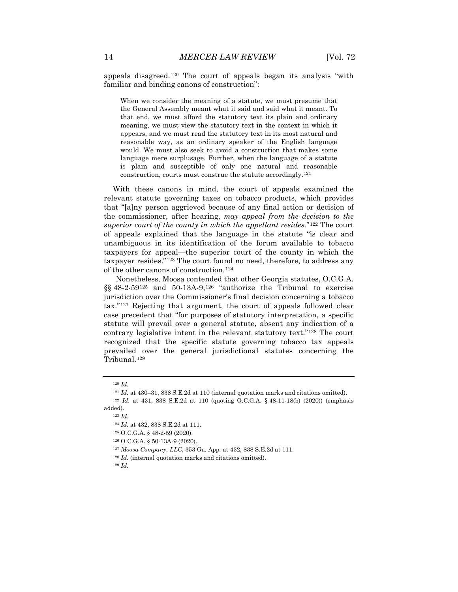appeals disagreed.[120](#page-14-0) The court of appeals began its analysis "with familiar and binding canons of construction":

When we consider the meaning of a statute, we must presume that the General Assembly meant what it said and said what it meant. To that end, we must afford the statutory text its plain and ordinary meaning, we must view the statutory text in the context in which it appears, and we must read the statutory text in its most natural and reasonable way, as an ordinary speaker of the English language would. We must also seek to avoid a construction that makes some language mere surplusage. Further, when the language of a statute is plain and susceptible of only one natural and reasonable construction, courts must construe the statute accordingly.[121](#page-14-1)

With these canons in mind, the court of appeals examined the relevant statute governing taxes on tobacco products, which provides that "[a]ny person aggrieved because of any final action or decision of the commissioner, after hearing, *may appeal from the decision to the superior court of the county in which the appellant resides*."[122](#page-14-2) The court of appeals explained that the language in the statute "is clear and unambiguous in its identification of the forum available to tobacco taxpayers for appeal—the superior court of the county in which the taxpayer resides."[123](#page-14-3) The court found no need, therefore, to address any of the other canons of construction.[124](#page-14-4)

Nonetheless, Moosa contended that other Georgia statutes, O.C.G.A. §§ 48-2-59<sup>[125](#page-14-5)</sup> and 50-13A-9,<sup>[126](#page-14-6)</sup> "authorize the Tribunal to exercise jurisdiction over the Commissioner's final decision concerning a tobacco tax."[127](#page-14-7) Rejecting that argument, the court of appeals followed clear case precedent that "for purposes of statutory interpretation, a specific statute will prevail over a general statute, absent any indication of a contrary legislative intent in the relevant statutory text."[128](#page-14-8) The court recognized that the specific statute governing tobacco tax appeals prevailed over the general jurisdictional statutes concerning the Tribunal.[129](#page-14-9)

<sup>120</sup> *Id.*

<sup>121</sup> *Id.* at 430–31, 838 S.E.2d at 110 (internal quotation marks and citations omitted).

<span id="page-14-6"></span><span id="page-14-5"></span><span id="page-14-4"></span><span id="page-14-3"></span><span id="page-14-2"></span><span id="page-14-1"></span><span id="page-14-0"></span><sup>122</sup> *Id.* at 431, 838 S.E.2d at 110 (quoting O.C.G.A. § 48-11-18(b) (2020)) (emphasis added).

<sup>124</sup> *Id.* at 432, 838 S.E.2d at 111.

<sup>125</sup> O.C.G.A. § 48-2-59 (2020).

<sup>126</sup> O.C.G.A. § 50-13A-9 (2020).

<span id="page-14-8"></span><span id="page-14-7"></span><sup>127</sup> *Moosa Company, LLC*, 353 Ga. App. at 432, 838 S.E.2d at 111.

<sup>128</sup> *Id.* (internal quotation marks and citations omitted).

<span id="page-14-9"></span><sup>129</sup> *Id.*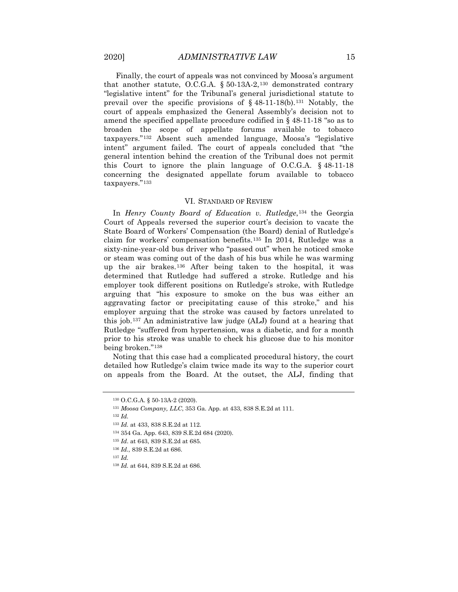Finally, the court of appeals was not convinced by Moosa's argument that another statute, O.C.G.A.  $\S 50-13A-2$ ,  $130$  demonstrated contrary "legislative intent" for the Tribunal's general jurisdictional statute to prevail over the specific provisions of  $\S$  48-11-18(b).<sup>[131](#page-15-1)</sup> Notably, the court of appeals emphasized the General Assembly's decision not to amend the specified appellate procedure codified in  $\S$  48-11-18 "so as to broaden the scope of appellate forums available to tobacco taxpayers."[132](#page-15-2) Absent such amended language, Moosa's "legislative intent" argument failed. The court of appeals concluded that "the general intention behind the creation of the Tribunal does not permit this Court to ignore the plain language of O.C.G.A. § 48-11-18 concerning the designated appellate forum available to tobacco taxpayers."[133](#page-15-3)

#### VI. STANDARD OF REVIEW

In *Henry County Board of Education v. Rutledge*,[134](#page-15-4) the Georgia Court of Appeals reversed the superior court's decision to vacate the State Board of Workers' Compensation (the Board) denial of Rutledge's claim for workers' compensation benefits.[135](#page-15-5) In 2014, Rutledge was a sixty-nine-year-old bus driver who "passed out" when he noticed smoke or steam was coming out of the dash of his bus while he was warming up the air brakes.[136](#page-15-6) After being taken to the hospital, it was determined that Rutledge had suffered a stroke. Rutledge and his employer took different positions on Rutledge's stroke, with Rutledge arguing that "his exposure to smoke on the bus was either an aggravating factor or precipitating cause of this stroke," and his employer arguing that the stroke was caused by factors unrelated to this job.[137](#page-15-7) An administrative law judge (ALJ) found at a hearing that Rutledge "suffered from hypertension, was a diabetic, and for a month prior to his stroke was unable to check his glucose due to his monitor being broken."[138](#page-15-8)

<span id="page-15-0"></span>Noting that this case had a complicated procedural history, the court detailed how Rutledge's claim twice made its way to the superior court on appeals from the Board. At the outset, the ALJ, finding that

- <span id="page-15-5"></span><span id="page-15-4"></span><sup>134</sup> 354 Ga. App. 643, 839 S.E.2d 684 (2020).
- <sup>135</sup> *Id*. at 643, 839 S.E.2d at 685.
- <span id="page-15-6"></span><sup>136</sup> *Id.*, 839 S.E.2d at 686.
- <span id="page-15-7"></span><sup>137</sup> *Id.*

<sup>130</sup> O.C.G.A. § 50-13A-2 (2020).

<span id="page-15-2"></span><span id="page-15-1"></span><sup>131</sup> *Moosa Company, LLC*, 353 Ga. App. at 433, 838 S.E.2d at 111.

<sup>132</sup> *Id.*

<span id="page-15-3"></span><sup>133</sup> *Id.* at 433, 838 S.E.2d at 112.

<span id="page-15-8"></span><sup>138</sup> *Id.* at 644, 839 S.E.2d at 686.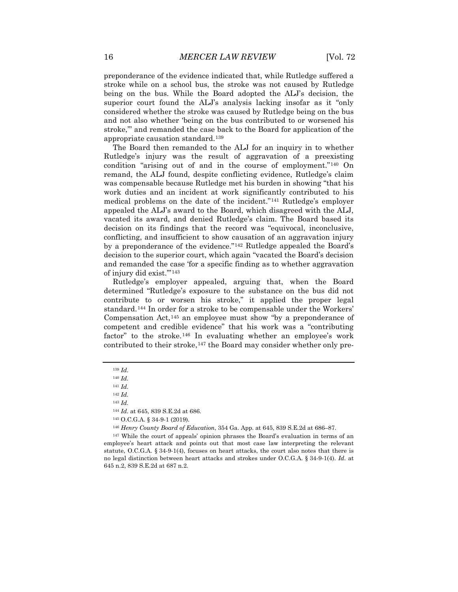preponderance of the evidence indicated that, while Rutledge suffered a stroke while on a school bus, the stroke was not caused by Rutledge being on the bus. While the Board adopted the ALJ's decision, the superior court found the ALJ's analysis lacking insofar as it "only considered whether the stroke was caused by Rutledge being on the bus and not also whether 'being on the bus contributed to or worsened his stroke,'" and remanded the case back to the Board for application of the appropriate causation standard.[139](#page-16-0)

The Board then remanded to the ALJ for an inquiry in to whether Rutledge's injury was the result of aggravation of a preexisting condition "arising out of and in the course of employment."[140](#page-16-1) On remand, the ALJ found, despite conflicting evidence, Rutledge's claim was compensable because Rutledge met his burden in showing "that his work duties and an incident at work significantly contributed to his medical problems on the date of the incident."[141](#page-16-2) Rutledge's employer appealed the ALJ's award to the Board, which disagreed with the ALJ, vacated its award, and denied Rutledge's claim. The Board based its decision on its findings that the record was "equivocal, inconclusive, conflicting, and insufficient to show causation of an aggravation injury by a preponderance of the evidence."[142](#page-16-3) Rutledge appealed the Board's decision to the superior court, which again "vacated the Board's decision and remanded the case 'for a specific finding as to whether aggravation of injury did exist.'"[143](#page-16-4)

Rutledge's employer appealed, arguing that, when the Board determined "Rutledge's exposure to the substance on the bus did not contribute to or worsen his stroke," it applied the proper legal standard.[144](#page-16-5) In order for a stroke to be compensable under the Workers' Compensation Act,[145](#page-16-6) an employee must show "by a preponderance of competent and credible evidence" that his work was a "contributing factor" to the stroke.<sup>[146](#page-16-7)</sup> In evaluating whether an employee's work contributed to their stroke,<sup>[147](#page-16-8)</sup> the Board may consider whether only pre-

<span id="page-16-1"></span><span id="page-16-0"></span><sup>139</sup> *Id.*

<sup>140</sup> *Id.*

<span id="page-16-3"></span><span id="page-16-2"></span><sup>141</sup> *Id.*

<sup>142</sup> *Id.*

<sup>143</sup> *Id.*

<sup>144</sup> *Id.* at 645, 839 S.E.2d at 686.

<sup>145</sup> O.C.G.A. § 34-9-1 (2019).

<sup>146</sup> *Henry County Board of Education*, 354 Ga. App. at 645, 839 S.E.2d at 686–87.

<span id="page-16-8"></span><span id="page-16-7"></span><span id="page-16-6"></span><span id="page-16-5"></span><span id="page-16-4"></span><sup>147</sup> While the court of appeals' opinion phrases the Board's evaluation in terms of an employee's heart attack and points out that most case law interpreting the relevant statute, O.C.G.A.  $\S 34-9-1(4)$ , focuses on heart attacks, the court also notes that there is no legal distinction between heart attacks and strokes under O.C.G.A. § 34-9-1(4). *Id.* at 645 n.2, 839 S.E.2d at 687 n.2.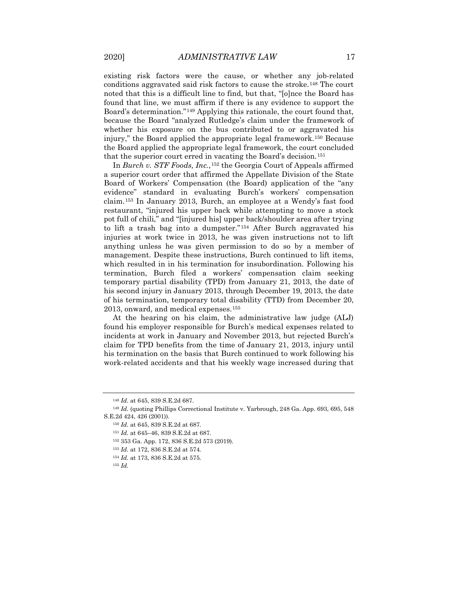existing risk factors were the cause, or whether any job-related conditions aggravated said risk factors to cause the stroke.[148](#page-17-0) The court noted that this is a difficult line to find, but that, "[o]nce the Board has found that line, we must affirm if there is any evidence to support the Board's determination."[149](#page-17-1) Applying this rationale, the court found that, because the Board "analyzed Rutledge's claim under the framework of whether his exposure on the bus contributed to or aggravated his injury," the Board applied the appropriate legal framework.[150](#page-17-2) Because the Board applied the appropriate legal framework, the court concluded that the superior court erred in vacating the Board's decision.<sup>[151](#page-17-3)</sup>

In *Burch v. STF Foods, Inc.*,[152](#page-17-4) the Georgia Court of Appeals affirmed a superior court order that affirmed the Appellate Division of the State Board of Workers' Compensation (the Board) application of the "any evidence" standard in evaluating Burch's workers' compensation claim.[153](#page-17-5) In January 2013, Burch, an employee at a Wendy's fast food restaurant, "injured his upper back while attempting to move a stock pot full of chili," and "[injured his] upper back/shoulder area after trying to lift a trash bag into a dumpster."[154](#page-17-6) After Burch aggravated his injuries at work twice in 2013, he was given instructions not to lift anything unless he was given permission to do so by a member of management. Despite these instructions, Burch continued to lift items, which resulted in in his termination for insubordination. Following his termination, Burch filed a workers' compensation claim seeking temporary partial disability (TPD) from January 21, 2013, the date of his second injury in January 2013, through December 19, 2013, the date of his termination, temporary total disability (TTD) from December 20, 2013, onward, and medical expenses.[155](#page-17-7)

At the hearing on his claim, the administrative law judge (ALJ) found his employer responsible for Burch's medical expenses related to incidents at work in January and November 2013, but rejected Burch's claim for TPD benefits from the time of January 21, 2013, injury until his termination on the basis that Burch continued to work following his work-related accidents and that his weekly wage increased during that

<sup>148</sup> *Id.* at 645, 839 S.E.2d 687.

<span id="page-17-5"></span><span id="page-17-4"></span><span id="page-17-3"></span><span id="page-17-2"></span><span id="page-17-1"></span><span id="page-17-0"></span><sup>149</sup> *Id.* (quoting Phillips Correctional Institute v. Yarbrough, 248 Ga. App. 693, 695, 548 S.E.2d 424, 426 (2001)).

<sup>150</sup> *Id.* at 645, 839 S.E.2d at 687.

<sup>151</sup> *Id.* at 645–46, 839 S.E.2d at 687.

<sup>152</sup> 353 Ga. App. 172, 836 S.E.2d 573 (2019).

<sup>153</sup> *Id.* at 172, 836 S.E.2d at 574.

<sup>154</sup> *Id.* at 173, 836 S.E.2d at 575.

<span id="page-17-7"></span><span id="page-17-6"></span><sup>155</sup> *Id.*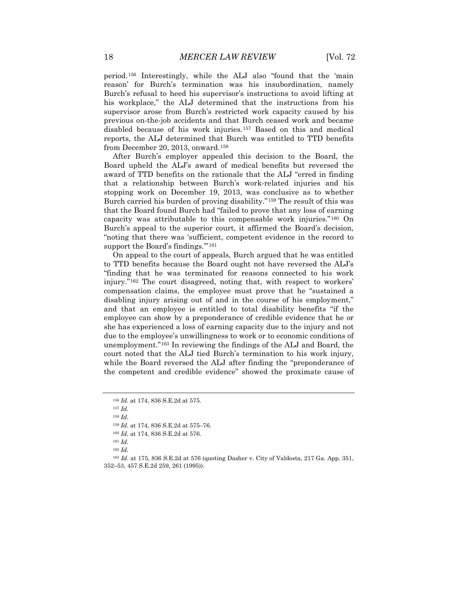period.[156](#page-18-0) Interestingly, while the ALJ also "found that the 'main reason' for Burch's termination was his insubordination, namely Burch's refusal to heed his supervisor's instructions to avoid lifting at his workplace," the ALJ determined that the instructions from his supervisor arose from Burch's restricted work capacity caused by his previous on-the-job accidents and that Burch ceased work and became disabled because of his work injuries.[157](#page-18-1) Based on this and medical reports, the ALJ determined that Burch was entitled to TTD benefits from December 20, 2013, onward.[158](#page-18-2)

After Burch's employer appealed this decision to the Board, the Board upheld the ALJ's award of medical benefits but reversed the award of TTD benefits on the rationale that the ALJ "erred in finding that a relationship between Burch's work-related injuries and his stopping work on December 19, 2013, was conclusive as to whether Burch carried his burden of proving disability."[159](#page-18-3) The result of this was that the Board found Burch had "failed to prove that any loss of earning capacity was attributable to this compensable work injuries."[160](#page-18-4) On Burch's appeal to the superior court, it affirmed the Board's decision, "noting that there was 'sufficient, competent evidence in the record to support the Board's findings.'"[161](#page-18-5)

On appeal to the court of appeals, Burch argued that he was entitled to TTD benefits because the Board ought not have reversed the ALJ's "finding that he was terminated for reasons connected to his work injury."[162](#page-18-6) The court disagreed, noting that, with respect to workers' compensation claims, the employee must prove that he "sustained a disabling injury arising out of and in the course of his employment," and that an employee is entitled to total disability benefits "if the employee can show by a preponderance of credible evidence that he or she has experienced a loss of earning capacity due to the injury and not due to the employee's unwillingness to work or to economic conditions of unemployment."[163](#page-18-7) In reviewing the findings of the ALJ and Board, the court noted that the ALJ tied Burch's termination to his work injury, while the Board reversed the ALJ after finding the "preponderance of the competent and credible evidence" showed the proximate cause of

<sup>158</sup> *Id.*

<span id="page-18-0"></span><sup>156</sup> *Id.* at 174, 836 S.E.2d at 575.

<span id="page-18-1"></span><sup>157</sup> *Id.* 

<sup>159</sup> *Id.* at 174, 836 S.E.2d at 575–76.

<sup>160</sup> *Id.* at 174, 836 S.E.2d at 576.

<sup>161</sup> *Id.*

<span id="page-18-7"></span><span id="page-18-6"></span><span id="page-18-5"></span><span id="page-18-4"></span><span id="page-18-3"></span><span id="page-18-2"></span><sup>163</sup> *Id.* at 175, 836 S.E.2d at 576 (quoting Dasher v. City of Valdosta, 217 Ga. App. 351, 352–53, 457 S.E.2d 259, 261 (1995)).